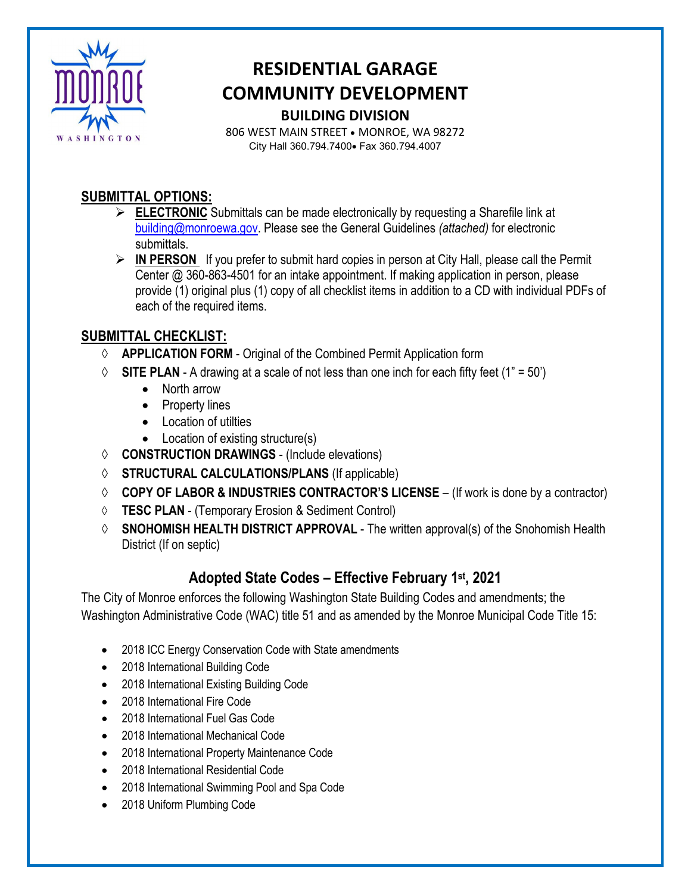

# **RESIDENTIAL GARAGE COMMUNITY DEVELOPMENT BUILDING DIVISION**

806 WEST MAIN STREET • MONROE, WA 98272 City Hall 360.794.7400• Fax 360.794.4007

#### **SUBMITTAL OPTIONS:**

- **ELECTRONIC** Submittals can be made electronically by requesting a Sharefile link at [building@monroewa.gov.](mailto:building@monroewa.gov) Please see the General Guidelines *(attached)* for electronic submittals.
- **IN PERSON** If you prefer to submit hard copies in person at City Hall, please call the Permit Center @ 360-863-4501 for an intake appointment. If making application in person, please provide (1) original plus (1) copy of all checklist items in addition to a CD with individual PDFs of each of the required items.

### **SUBMITTAL CHECKLIST:**

- ◊ **APPLICATION FORM** Original of the Combined Permit Application form
- $\Diamond$  **SITE PLAN** A drawing at a scale of not less than one inch for each fifty feet (1" = 50")
	- North arrow
	- Property lines
	- Location of utilties
	- Location of existing structure(s)
- ◊ **CONSTRUCTION DRAWINGS** (Include elevations)
- ◊ **STRUCTURAL CALCULATIONS/PLANS** (If applicable)
- ◊ **COPY OF LABOR & INDUSTRIES CONTRACTOR'S LICENSE**  (If work is done by a contractor)
- ◊ **TESC PLAN**  (Temporary Erosion & Sediment Control)
- ◊ **SNOHOMISH HEALTH DISTRICT APPROVAL**  The written approval(s) of the Snohomish Health District (If on septic)

# **Adopted State Codes – Effective February 1st, 2021**

The City of Monroe enforces the following Washington State Building Codes and amendments; the Washington Administrative Code (WAC) title 51 and as amended by the Monroe Municipal Code Title 15:

- 2018 ICC Energy Conservation Code with State amendments
- 2018 International Building Code
- 2018 International Existing Building Code
- 2018 International Fire Code
- 2018 International Fuel Gas Code
- 2018 International Mechanical Code
- 2018 International Property Maintenance Code
- 2018 International Residential Code
- 2018 International Swimming Pool and Spa Code
- 2018 Uniform Plumbing Code